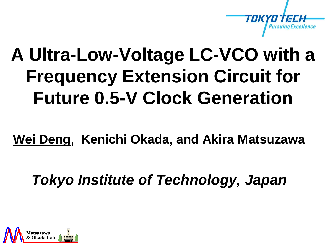

## **A Ultra-Low-Voltage LC-VCO with a Frequency Extension Circuit for Future 0.5-V Clock Generation**

**Wei Deng, Kenichi Okada, and Akira Matsuzawa**

*Tokyo Institute of Technology, Japan*

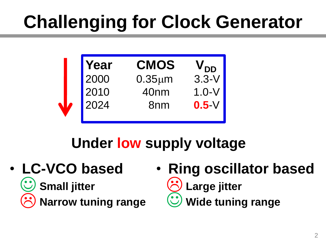# **Challenging for Clock Generator**



#### **Under low supply voltage**

• **LC-VCO based**  Conall jitter **Constant Narrow tuning range**  $\odot$ 

• **Ring oscillator based Large jitter**  $\breve{\odot}$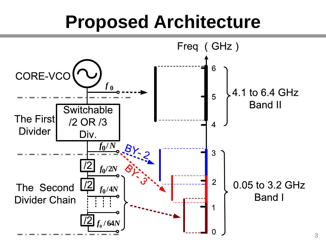### **Proposed Architecture**

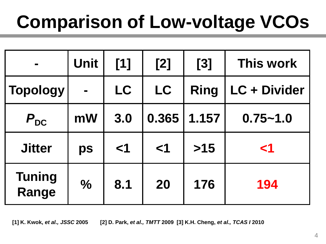# **Comparison of Low-voltage VCOs**

| $\blacksquare$         | <b>Unit</b>    | [1]   | [2]      | [3]         | This work    |
|------------------------|----------------|-------|----------|-------------|--------------|
| <b>Topology</b>        | $\blacksquare$ | LC    | LC       | <b>Ring</b> | LC + Divider |
| $P_{DC}$               | mW             | 3.0   | 0.365    | 1.157       | $0.75 - 1.0$ |
| <b>Jitter</b>          | ps             | $<$ 1 | $\leq$ 1 | $>15$       | $\leq$ 1     |
| <b>Tuning</b><br>Range | $\frac{0}{0}$  | 8.1   | 20       | 176         | 194          |

**[1] K. Kwok,** *et al., JSSC* **2005 [2] D. Park,** *et al., TMTT* **2009 [3] K.H. Cheng,** *et al., TCAS I* **2010**